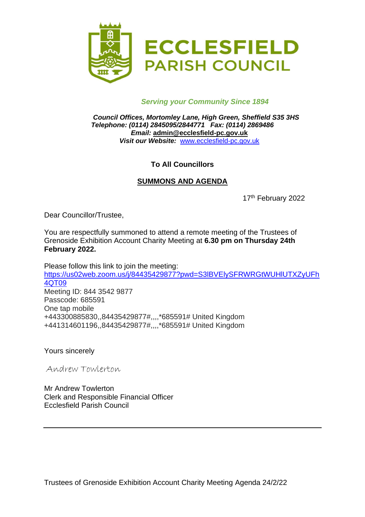

## *Serving your Community Since 1894*

*Council Offices, Mortomley Lane, High Green, Sheffield S35 3HS Telephone: (0114) 2845095/2844771 Fax: (0114) 2869486 Email:* **admin@ecclesfield-pc.gov.uk** *Visit our Website:* [www.ecclesfield-pc.gov.uk](http://www.ecclesfield-pc.gov.uk/)

## **To All Councillors**

### **SUMMONS AND AGENDA**

17<sup>th</sup> February 2022

Dear Councillor/Trustee,

You are respectfully summoned to attend a remote meeting of the Trustees of Grenoside Exhibition Account Charity Meeting at **6.30 pm on Thursday 24th February 2022.**

Please follow this link to join the meeting: [https://us02web.zoom.us/j/84435429877?pwd=S3lBVElySFRWRGtWUHlUTXZyUFh](https://us02web.zoom.us/j/84435429877?pwd=S3lBVElySFRWRGtWUHlUTXZyUFh4QT09) [4QT09](https://us02web.zoom.us/j/84435429877?pwd=S3lBVElySFRWRGtWUHlUTXZyUFh4QT09) Meeting ID: 844 3542 9877 Passcode: 685591 One tap mobile +443300885830,,84435429877#,,,,\*685591# United Kingdom +441314601196,,84435429877#,,,,\*685591# United Kingdom

Yours sincerely

Andrew Towlerton

Mr Andrew Towlerton Clerk and Responsible Financial Officer Ecclesfield Parish Council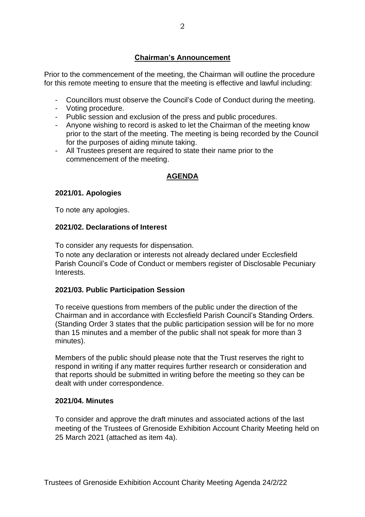# **Chairman's Announcement**

Prior to the commencement of the meeting, the Chairman will outline the procedure for this remote meeting to ensure that the meeting is effective and lawful including:

- Councillors must observe the Council's Code of Conduct during the meeting.
- Voting procedure.
- Public session and exclusion of the press and public procedures.
- Anyone wishing to record is asked to let the Chairman of the meeting know prior to the start of the meeting. The meeting is being recorded by the Council for the purposes of aiding minute taking.
- All Trustees present are required to state their name prior to the commencement of the meeting.

# **AGENDA**

### **2021/01. Apologies**

To note any apologies.

### **2021/02. Declarations of Interest**

To consider any requests for dispensation.

To note any declaration or interests not already declared under Ecclesfield Parish Council's Code of Conduct or members register of Disclosable Pecuniary Interests.

### **2021/03. Public Participation Session**

To receive questions from members of the public under the direction of the Chairman and in accordance with Ecclesfield Parish Council's Standing Orders. (Standing Order 3 states that the public participation session will be for no more than 15 minutes and a member of the public shall not speak for more than 3 minutes).

Members of the public should please note that the Trust reserves the right to respond in writing if any matter requires further research or consideration and that reports should be submitted in writing before the meeting so they can be dealt with under correspondence.

#### **2021/04. Minutes**

To consider and approve the draft minutes and associated actions of the last meeting of the Trustees of Grenoside Exhibition Account Charity Meeting held on 25 March 2021 (attached as item 4a).